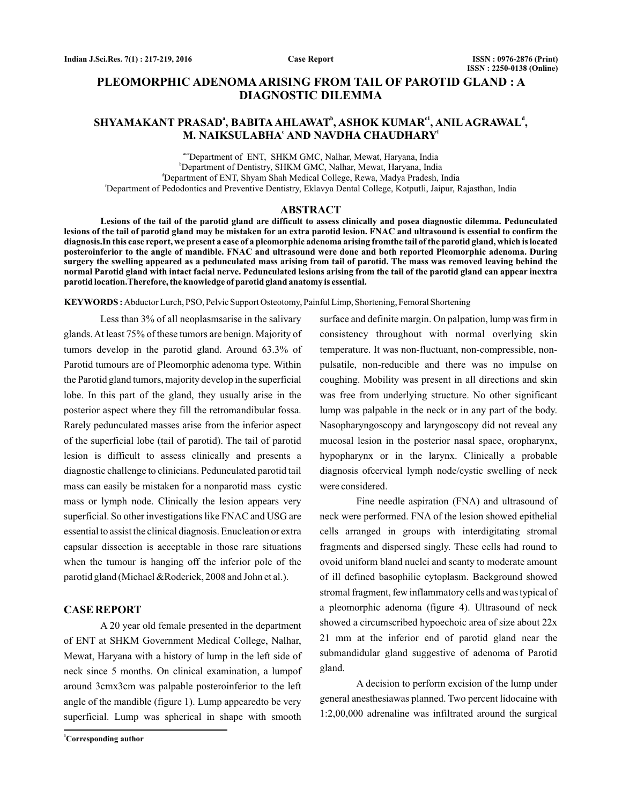# **PLEOMORPHIC ADENOMA ARISING FROM TAIL OF PAROTID GLAND : A DIAGNOSTIC DILEMMA**

# $\mathbf{SHYAMAKANT}$   $\mathbf{PRASAD}$ ª,  $\mathbf{BABITA}\mathbf{AHLAWAT}$ °,  $\mathbf{ASHOK}\mathbf{KUMAR}^{c1}, \mathbf{ANIL}\mathbf{AGRAWAL}^{d1},$ M. NAIKSULABHA<sup>e</sup> AND NAVDHA CHAUDHARY<sup>e</sup>

ace Department of ENT, SHKM GMC, Nalhar, Mewat, Haryana, India b Department of Dentistry, SHKM GMC, Nalhar, Mewat, Haryana, India d Department of ENT, Shyam Shah Medical College, Rewa, Madya Pradesh, India f Department of Pedodontics and Preventive Dentistry, Eklavya Dental College, Kotputli, Jaipur, Rajasthan, India

#### **ABSTRACT**

**Lesions of the tail of the parotid gland are difficult to assess clinically and posea diagnostic dilemma. Pedunculated lesions of the tail of parotid gland may be mistaken for an extra parotid lesion. FNAC and ultrasound is essential to confirm the diagnosis.In this case report, we present a case of a pleomorphic adenoma arising fromthe tail of the parotid gland, which is located posteroinferior to the angle of mandible. FNAC and ultrasound were done and both reported Pleomorphic adenoma. During surgery the swelling appeared as a pedunculated mass arising from tail of parotid. The mass was removed leaving behind the normal Parotid gland with intact facial nerve. Pedunculated lesions arising from the tail of the parotid gland can appear inextra parotid location.Therefore, the knowledge of parotid gland anatomy is essential.**

KEYWORDS: Abductor Lurch, PSO, Pelvic Support Osteotomy, Painful Limp, Shortening, Femoral Shortening

Less than 3% of all neoplasmsarise in the salivary glands.At least 75% of these tumors are benign. Majority of tumors develop in the parotid gland. Around 63.3% of Parotid tumours are of Pleomorphic adenoma type. Within the Parotid gland tumors, majority develop in the superficial lobe. In this part of the gland, they usually arise in the posterior aspect where they fill the retromandibular fossa. Rarely pedunculated masses arise from the inferior aspect of the superficial lobe (tail of parotid). The tail of parotid lesion is difficult to assess clinically and presents a diagnostic challenge to clinicians. Pedunculated parotid tail mass can easily be mistaken for a nonparotid mass cystic mass or lymph node. Clinically the lesion appears very superficial. So other investigations like FNAC and USG are essential to assist the clinical diagnosis. Enucleation or extra capsular dissection is acceptable in those rare situations when the tumour is hanging off the inferior pole of the parotid gland (Michael &Roderick, 2008 and John et al.).

#### **CASE REPORT**

A 20 year old female presented in the department of ENT at SHKM Government Medical College, Nalhar, Mewat, Haryana with a history of lump in the left side of neck since 5 months. On clinical examination, a lumpof around 3cmx3cm was palpable posteroinferior to the left angle of the mandible (figure 1). Lump appearedto be very superficial. Lump was spherical in shape with smooth

**<sup>1</sup>Corresponding author**

surface and definite margin. On palpation, lump was firm in consistency throughout with normal overlying skin temperature. It was non-fluctuant, non-compressible, nonpulsatile, non-reducible and there was no impulse on coughing. Mobility was present in all directions and skin was free from underlying structure. No other significant lump was palpable in the neck or in any part of the body. Nasopharyngoscopy and laryngoscopy did not reveal any mucosal lesion in the posterior nasal space, oropharynx, hypopharynx or in the larynx. Clinically a probable diagnosis ofcervical lymph node/cystic swelling of neck were considered.

Fine needle aspiration (FNA) and ultrasound of neck were performed. FNA of the lesion showed epithelial cells arranged in groups with interdigitating stromal fragments and dispersed singly. These cells had round to ovoid uniform bland nuclei and scanty to moderate amount of ill defined basophilic cytoplasm. Background showed stromal fragment, few inflammatory cells and was typical of a pleomorphic adenoma (figure 4). Ultrasound of neck showed a circumscribed hypoechoic area of size about 22x 21 mm at the inferior end of parotid gland near the submandidular gland suggestive of adenoma of Parotid gland.

A decision to perform excision of the lump under general anesthesiawas planned. Two percent lidocaine with 1:2,00,000 adrenaline was infiltrated around the surgical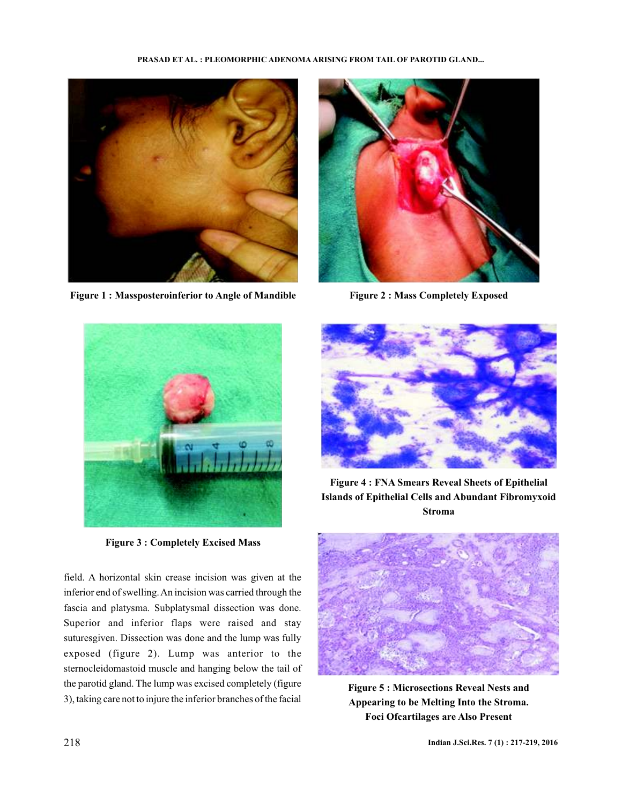#### **PRASAD ET AL. : PLEOMORPHIC ADENOMA ARISING FROM TAIL OF PAROTID GLAND...**



Figure 1 : Massposteroinferior to Angle of Mandible Figure 2 : Mass Completely Exposed





**Figure 3 : Completely Excised Mass**

field. A horizontal skin crease incision was given at the inferior end of swelling.An incision was carried through the fascia and platysma. Subplatysmal dissection was done. Superior and inferior flaps were raised and stay suturesgiven. Dissection was done and the lump was fully exposed (figure 2). Lump was anterior to the sternocleidomastoid muscle and hanging below the tail of the parotid gland. The lump was excised completely (figure 3), taking care not to injure the inferior branches of the facial



**Figure 4 : FNA Smears Reveal Sheets of Epithelial Islands of Epithelial Cells and Abundant Fibromyxoid Stroma**



**Figure 5 : Microsections Reveal Nests and Appearing to be Melting Into the Stroma. Foci Ofcartilages are Also Present**